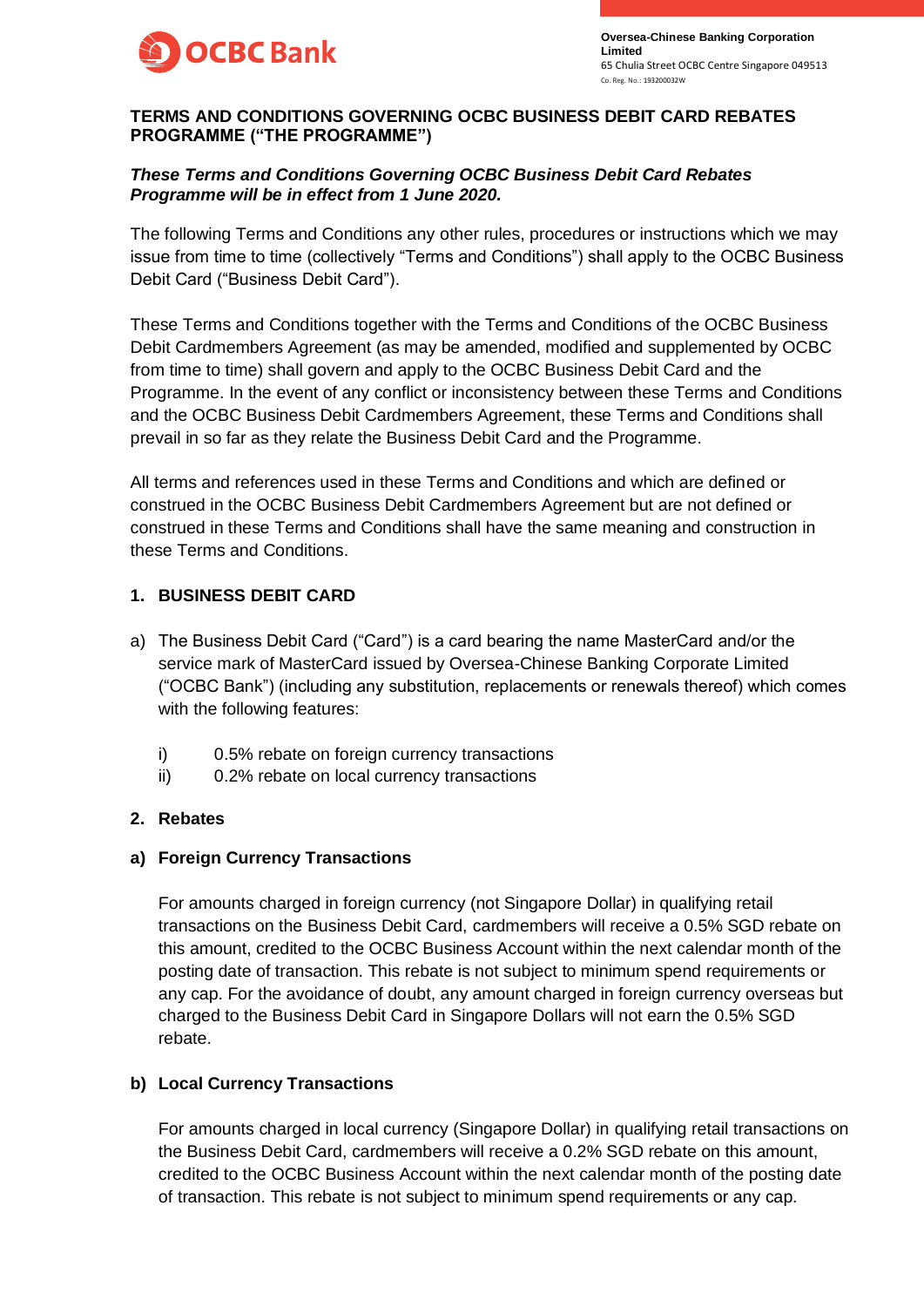

## **TERMS AND CONDITIONS GOVERNING OCBC BUSINESS DEBIT CARD REBATES PROGRAMME ("THE PROGRAMME")**

## *These Terms and Conditions Governing OCBC Business Debit Card Rebates Programme will be in effect from 1 June 2020.*

The following Terms and Conditions any other rules, procedures or instructions which we may issue from time to time (collectively "Terms and Conditions") shall apply to the OCBC Business Debit Card ("Business Debit Card").

These Terms and Conditions together with the Terms and Conditions of the OCBC Business Debit Cardmembers Agreement (as may be amended, modified and supplemented by OCBC from time to time) shall govern and apply to the OCBC Business Debit Card and the Programme. In the event of any conflict or inconsistency between these Terms and Conditions and the OCBC Business Debit Cardmembers Agreement, these Terms and Conditions shall prevail in so far as they relate the Business Debit Card and the Programme.

All terms and references used in these Terms and Conditions and which are defined or construed in the OCBC Business Debit Cardmembers Agreement but are not defined or construed in these Terms and Conditions shall have the same meaning and construction in these Terms and Conditions.

## **1. BUSINESS DEBIT CARD**

- a) The Business Debit Card ("Card") is a card bearing the name MasterCard and/or the service mark of MasterCard issued by Oversea-Chinese Banking Corporate Limited ("OCBC Bank") (including any substitution, replacements or renewals thereof) which comes with the following features:
	- i) 0.5% rebate on foreign currency transactions
	- ii) 0.2% rebate on local currency transactions

## **2. Rebates**

### **a) Foreign Currency Transactions**

For amounts charged in foreign currency (not Singapore Dollar) in qualifying retail transactions on the Business Debit Card, cardmembers will receive a 0.5% SGD rebate on this amount, credited to the OCBC Business Account within the next calendar month of the posting date of transaction. This rebate is not subject to minimum spend requirements or any cap. For the avoidance of doubt, any amount charged in foreign currency overseas but charged to the Business Debit Card in Singapore Dollars will not earn the 0.5% SGD rebate.

# **b) Local Currency Transactions**

For amounts charged in local currency (Singapore Dollar) in qualifying retail transactions on the Business Debit Card, cardmembers will receive a 0.2% SGD rebate on this amount, credited to the OCBC Business Account within the next calendar month of the posting date of transaction. This rebate is not subject to minimum spend requirements or any cap.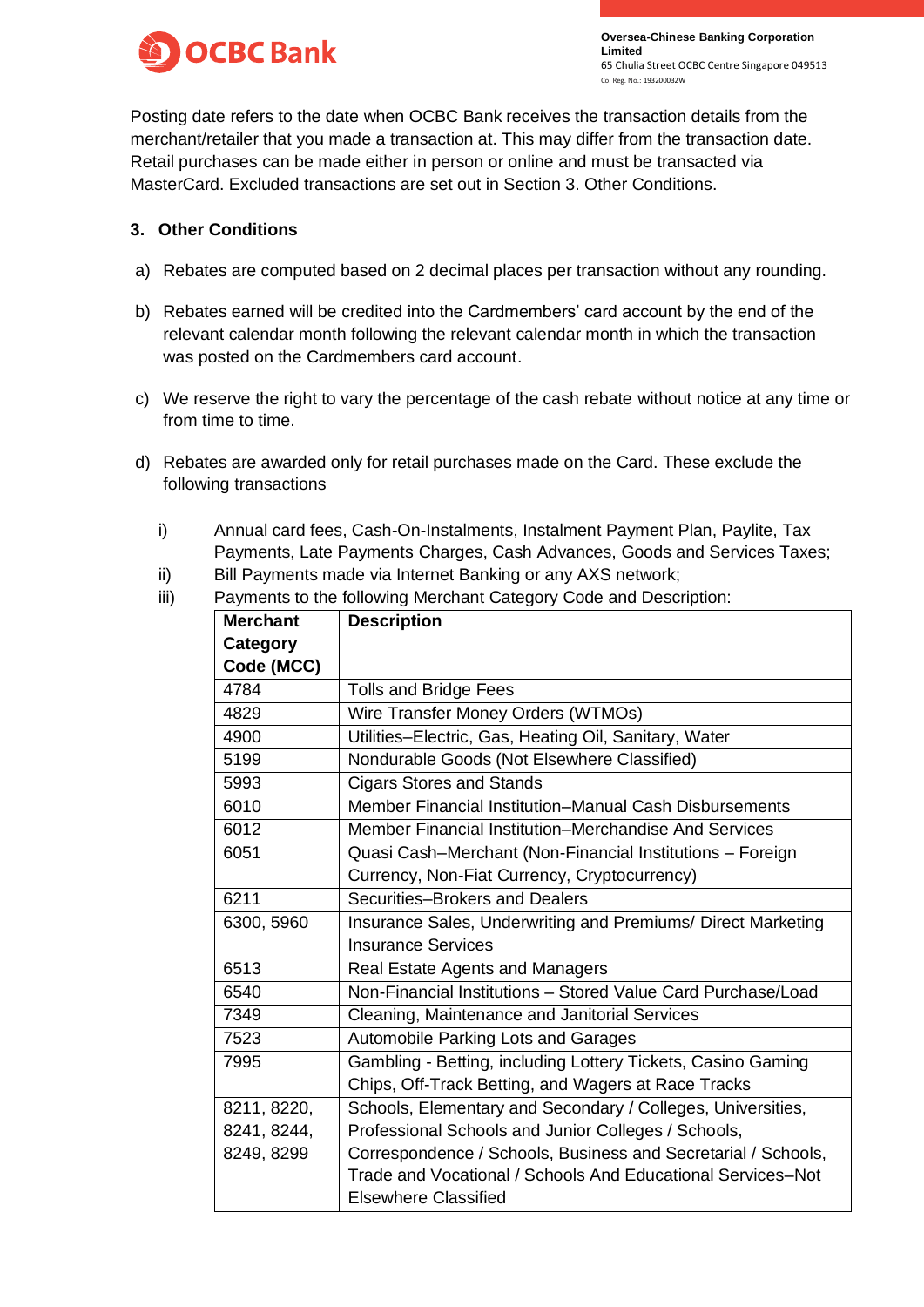

Posting date refers to the date when OCBC Bank receives the transaction details from the merchant/retailer that you made a transaction at. This may differ from the transaction date. Retail purchases can be made either in person or online and must be transacted via MasterCard. Excluded transactions are set out in Section 3. Other Conditions.

## **3. Other Conditions**

- a) Rebates are computed based on 2 decimal places per transaction without any rounding.
- b) Rebates earned will be credited into the Cardmembers' card account by the end of the relevant calendar month following the relevant calendar month in which the transaction was posted on the Cardmembers card account.
- c) We reserve the right to vary the percentage of the cash rebate without notice at any time or from time to time.
- d) Rebates are awarded only for retail purchases made on the Card. These exclude the following transactions
	- i) Annual card fees, Cash-On-Instalments, Instalment Payment Plan, Paylite, Tax Payments, Late Payments Charges, Cash Advances, Goods and Services Taxes;
	- ii) Bill Payments made via Internet Banking or any AXS network;
	- iii) Payments to the following Merchant Category Code and Description:

| <b>Merchant</b> | <b>Description</b>                                            |  |  |
|-----------------|---------------------------------------------------------------|--|--|
| Category        |                                                               |  |  |
| Code (MCC)      |                                                               |  |  |
| 4784            | <b>Tolls and Bridge Fees</b>                                  |  |  |
| 4829            | Wire Transfer Money Orders (WTMOs)                            |  |  |
| 4900            | Utilities-Electric, Gas, Heating Oil, Sanitary, Water         |  |  |
| 5199            | Nondurable Goods (Not Elsewhere Classified)                   |  |  |
| 5993            | <b>Cigars Stores and Stands</b>                               |  |  |
| 6010            | Member Financial Institution–Manual Cash Disbursements        |  |  |
| 6012            | Member Financial Institution–Merchandise And Services         |  |  |
| 6051            | Quasi Cash-Merchant (Non-Financial Institutions - Foreign     |  |  |
|                 | Currency, Non-Fiat Currency, Cryptocurrency)                  |  |  |
| 6211            | Securities-Brokers and Dealers                                |  |  |
| 6300, 5960      | Insurance Sales, Underwriting and Premiums/ Direct Marketing  |  |  |
|                 | <b>Insurance Services</b>                                     |  |  |
| 6513            | <b>Real Estate Agents and Managers</b>                        |  |  |
| 6540            | Non-Financial Institutions - Stored Value Card Purchase/Load  |  |  |
| 7349            | Cleaning, Maintenance and Janitorial Services                 |  |  |
| 7523            | Automobile Parking Lots and Garages                           |  |  |
| 7995            | Gambling - Betting, including Lottery Tickets, Casino Gaming  |  |  |
|                 | Chips, Off-Track Betting, and Wagers at Race Tracks           |  |  |
| 8211, 8220,     | Schools, Elementary and Secondary / Colleges, Universities,   |  |  |
| 8241, 8244,     | Professional Schools and Junior Colleges / Schools,           |  |  |
| 8249, 8299      | Correspondence / Schools, Business and Secretarial / Schools, |  |  |
|                 | Trade and Vocational / Schools And Educational Services-Not   |  |  |
|                 | <b>Elsewhere Classified</b>                                   |  |  |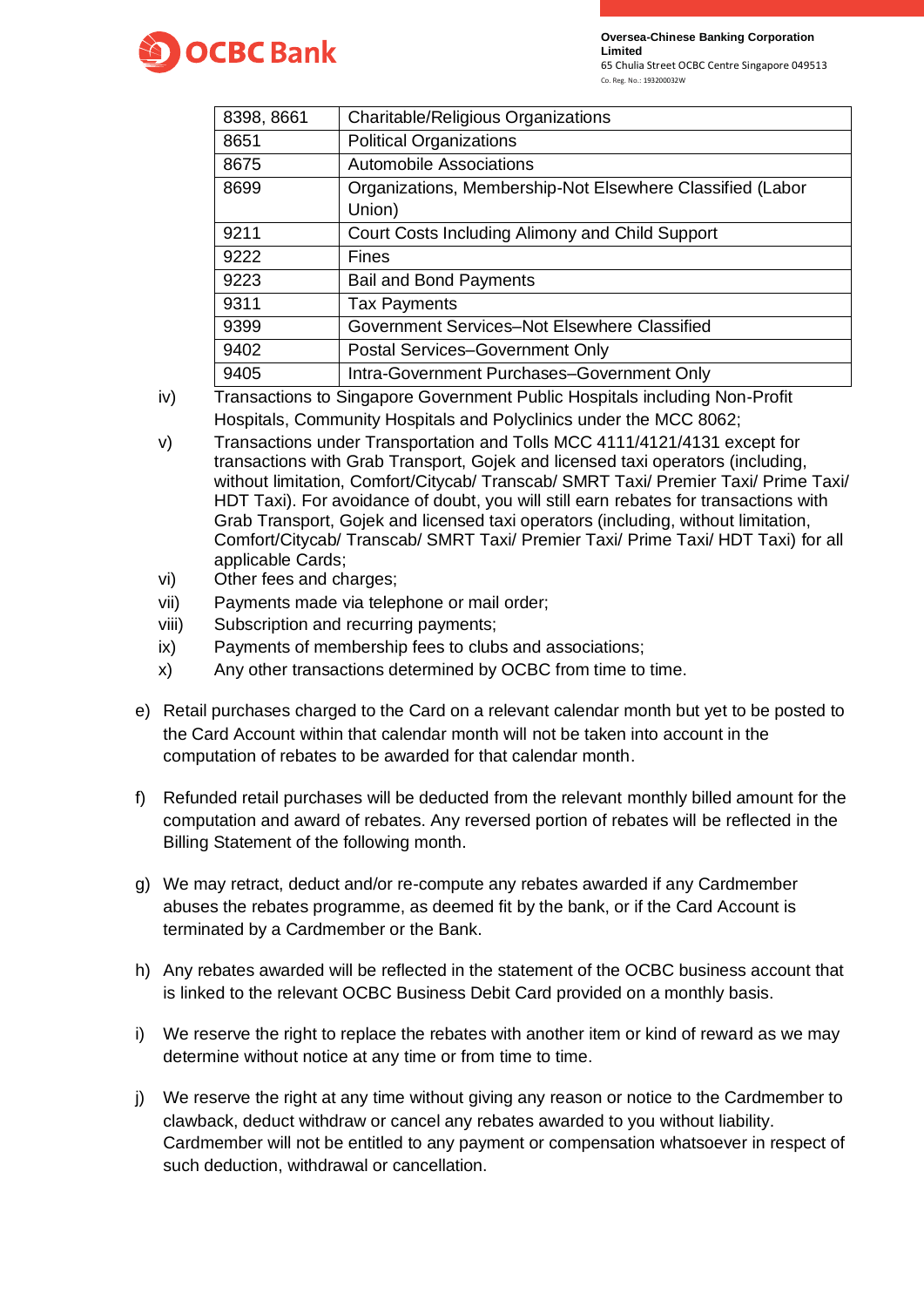



65 Chulia Street OCBC Centre Singapore 049513

| Co. Reg. No.: 193200032W |  |  |  |
|--------------------------|--|--|--|

| 8398, 8661 | Charitable/Religious Organizations                        |  |  |
|------------|-----------------------------------------------------------|--|--|
| 8651       | <b>Political Organizations</b>                            |  |  |
| 8675       | <b>Automobile Associations</b>                            |  |  |
| 8699       | Organizations, Membership-Not Elsewhere Classified (Labor |  |  |
|            | Union)                                                    |  |  |
| 9211       | Court Costs Including Alimony and Child Support           |  |  |
| 9222       | <b>Fines</b>                                              |  |  |
| 9223       | <b>Bail and Bond Payments</b>                             |  |  |
| 9311       | <b>Tax Payments</b>                                       |  |  |
| 9399       | Government Services-Not Elsewhere Classified              |  |  |
| 9402       | Postal Services-Government Only                           |  |  |
| 9405       | Intra-Government Purchases-Government Only                |  |  |

- iv) Transactions to Singapore Government Public Hospitals including Non-Profit Hospitals, Community Hospitals and Polyclinics under the MCC 8062;
- v) Transactions under Transportation and Tolls MCC 4111/4121/4131 except for transactions with Grab Transport, Gojek and licensed taxi operators (including, without limitation, Comfort/Citycab/ Transcab/ SMRT Taxi/ Premier Taxi/ Prime Taxi/ HDT Taxi). For avoidance of doubt, you will still earn rebates for transactions with Grab Transport, Gojek and licensed taxi operators (including, without limitation, Comfort/Citycab/ Transcab/ SMRT Taxi/ Premier Taxi/ Prime Taxi/ HDT Taxi) for all applicable Cards;
- vi) Other fees and charges;
- vii) Payments made via telephone or mail order;
- viii) Subscription and recurring payments;
- ix) Payments of membership fees to clubs and associations;
- x) Any other transactions determined by OCBC from time to time.
- e) Retail purchases charged to the Card on a relevant calendar month but yet to be posted to the Card Account within that calendar month will not be taken into account in the computation of rebates to be awarded for that calendar month.
- f) Refunded retail purchases will be deducted from the relevant monthly billed amount for the computation and award of rebates. Any reversed portion of rebates will be reflected in the Billing Statement of the following month.
- g) We may retract, deduct and/or re-compute any rebates awarded if any Cardmember abuses the rebates programme, as deemed fit by the bank, or if the Card Account is terminated by a Cardmember or the Bank.
- h) Any rebates awarded will be reflected in the statement of the OCBC business account that is linked to the relevant OCBC Business Debit Card provided on a monthly basis.
- i) We reserve the right to replace the rebates with another item or kind of reward as we may determine without notice at any time or from time to time.
- j) We reserve the right at any time without giving any reason or notice to the Cardmember to clawback, deduct withdraw or cancel any rebates awarded to you without liability. Cardmember will not be entitled to any payment or compensation whatsoever in respect of such deduction, withdrawal or cancellation.